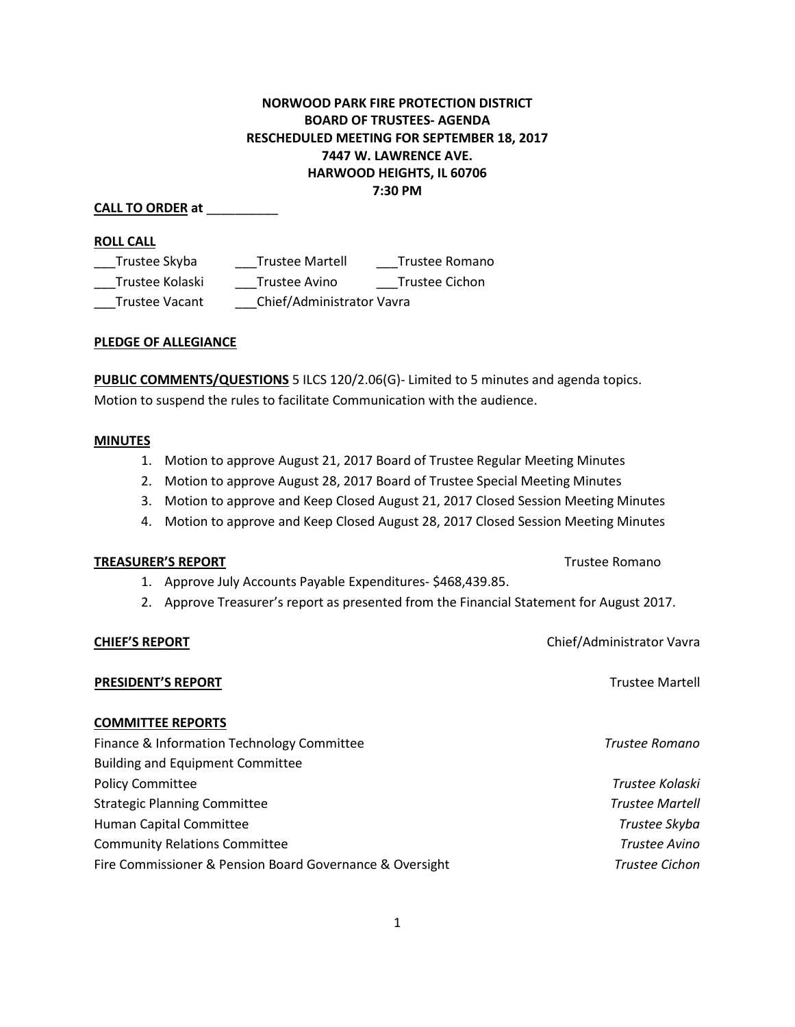# **NORWOOD PARK FIRE PROTECTION DISTRICT BOARD OF TRUSTEES- AGENDA RESCHEDULED MEETING FOR SEPTEMBER 18, 2017 7447 W. LAWRENCE AVE. HARWOOD HEIGHTS, IL 60706 7:30 PM**

# **CALL TO ORDER at** \_\_\_\_\_\_\_\_\_\_

### **ROLL CALL**

| Trustee Skyba         | <b>Trustee Martell</b>    | Trustee Romano |
|-----------------------|---------------------------|----------------|
| Trustee Kolaski       | Trustee Avino             | Trustee Cichon |
| <b>Trustee Vacant</b> | Chief/Administrator Vavra |                |

### **PLEDGE OF ALLEGIANCE**

**PUBLIC COMMENTS/QUESTIONS** 5 ILCS 120/2.06(G)- Limited to 5 minutes and agenda topics. Motion to suspend the rules to facilitate Communication with the audience.

### **MINUTES**

- 1. Motion to approve August 21, 2017 Board of Trustee Regular Meeting Minutes
- 2. Motion to approve August 28, 2017 Board of Trustee Special Meeting Minutes
- 3. Motion to approve and Keep Closed August 21, 2017 Closed Session Meeting Minutes
- 4. Motion to approve and Keep Closed August 28, 2017 Closed Session Meeting Minutes

### **TREASURER'S REPORT** TREASURER'S REPORT

- 1. Approve July Accounts Payable Expenditures- \$468,439.85.
- 2. Approve Treasurer's report as presented from the Financial Statement for August 2017.

**CHIEF'S REPORT** Chief/Administrator Vavra

**PRESIDENT'S REPORT** Trustee Martell

### **COMMITTEE REPORTS**

| Finance & Information Technology Committee               | Trustee Romano         |
|----------------------------------------------------------|------------------------|
| <b>Building and Equipment Committee</b>                  |                        |
| <b>Policy Committee</b>                                  | Trustee Kolaski        |
| <b>Strategic Planning Committee</b>                      | <b>Trustee Martell</b> |
| Human Capital Committee                                  | Trustee Skyba          |
| <b>Community Relations Committee</b>                     | Trustee Avino          |
| Fire Commissioner & Pension Board Governance & Oversight | <b>Trustee Cichon</b>  |